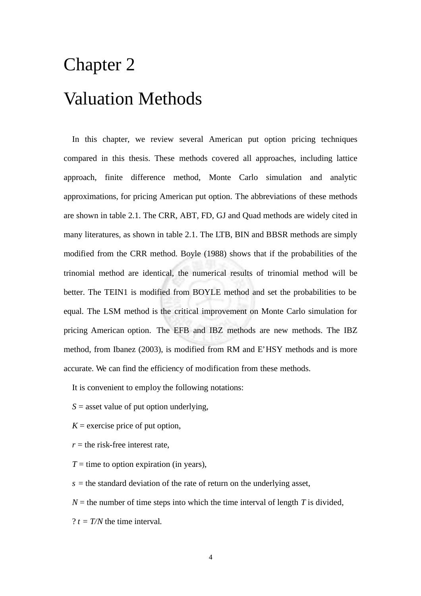# Chapter 2 Valuation Methods

In this chapter, we review several American put option pricing techniques compared in this thesis. These methods covered all approaches, including lattice approach, finite difference method, Monte Carlo simulation and analytic approximations, for pricing American put option. The abbreviations of these methods are shown in table 2.1. The CRR, ABT, FD, GJ and Quad methods are widely cited in many literatures, as shown in table 2.1. The LTB, BIN and BBSR methods are simply modified from the CRR method. Boyle (1988) shows that if the probabilities of the trinomial method are identical, the numerical results of trinomial method will be better. The TEIN1 is modified from BOYLE method and set the probabilities to be equal. The LSM method is the critical improvement on Monte Carlo simulation for pricing American option. The EFB and IBZ methods are new methods. The IBZ method, from Ibanez (2003), is modified from RM and E'HSY methods and is more accurate. We can find the efficiency of modification from these methods.

It is convenient to employ the following notations:

- *S* = asset value of put option underlying,
- $K =$  exercise price of put option,
- $r =$  the risk-free interest rate,
- $T =$  time to option expiration (in years),

 $s =$  the standard deviation of the rate of return on the underlying asset,

 $N =$  the number of time steps into which the time interval of length *T* is divided,

 $? t = T/N$  the time interval.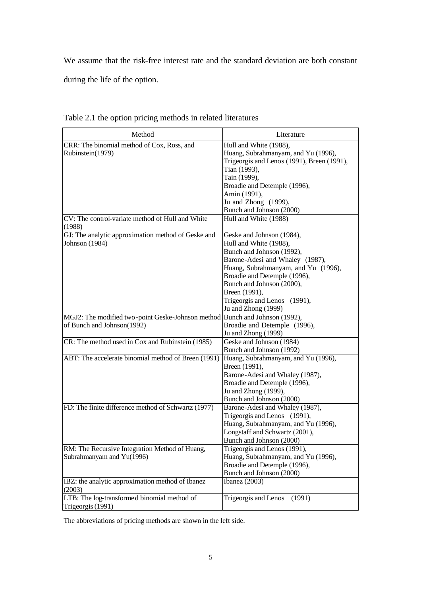We assume that the risk-free interest rate and the standard deviation are both constant

during the life of the option.

| Method                                                                      | Literature                                                                                                                                                                                                                                                                                      |
|-----------------------------------------------------------------------------|-------------------------------------------------------------------------------------------------------------------------------------------------------------------------------------------------------------------------------------------------------------------------------------------------|
| CRR: The binomial method of Cox, Ross, and<br>Rubinstein(1979)              | Hull and White (1988),<br>Huang, Subrahmanyam, and Yu (1996),<br>Trigeorgis and Lenos (1991), Breen (1991),<br>Tian (1993),<br>Tain (1999),<br>Broadie and Detemple (1996),                                                                                                                     |
| CV: The control-variate method of Hull and White                            | Amin (1991),<br>Ju and Zhong (1999),<br>Bunch and Johnson (2000)<br>Hull and White (1988)                                                                                                                                                                                                       |
| (1988)                                                                      |                                                                                                                                                                                                                                                                                                 |
| GJ: The analytic approximation method of Geske and<br>Johnson (1984)        | Geske and Johnson (1984),<br>Hull and White (1988),<br>Bunch and Johnson (1992),<br>Barone-Adesi and Whaley (1987),<br>Huang, Subrahmanyam, and Yu (1996),<br>Broadie and Detemple (1996),<br>Bunch and Johnson (2000),<br>Breen (1991),<br>Trigeorgis and Lenos (1991),<br>Ju and Zhong (1999) |
| MGJ2: The modified two-point Geske-Johnson method Bunch and Johnson (1992), |                                                                                                                                                                                                                                                                                                 |
| of Bunch and Johnson(1992)                                                  | Broadie and Detemple (1996),<br>Ju and Zhong (1999)                                                                                                                                                                                                                                             |
| CR: The method used in Cox and Rubinstein (1985)                            | Geske and Johnson (1984)<br>Bunch and Johnson (1992)                                                                                                                                                                                                                                            |
| ABT: The accelerate binomial method of Breen (1991)                         | Huang, Subrahmanyam, and Yu (1996),<br>Breen (1991),<br>Barone-Adesi and Whaley (1987),<br>Broadie and Detemple (1996),<br>Ju and Zhong (1999),<br>Bunch and Johnson (2000)                                                                                                                     |
| FD: The finite difference method of Schwartz (1977)                         | Barone-Adesi and Whaley (1987),<br>Trigeorgis and Lenos (1991),<br>Huang, Subrahmanyam, and Yu (1996),<br>Longstaff and Schwartz (2001),<br>Bunch and Johnson (2000)                                                                                                                            |
| RM: The Recursive Integration Method of Huang,<br>Subrahmanyam and Yu(1996) | Trigeorgis and Lenos (1991),<br>Huang, Subrahmanyam, and Yu (1996),<br>Broadie and Detemple (1996),<br>Bunch and Johnson (2000)                                                                                                                                                                 |
| IBZ: the analytic approximation method of Ibanez<br>(2003)                  | Ibanez $(2003)$                                                                                                                                                                                                                                                                                 |
| LTB: The log-transformed binomial method of<br>Trigeorgis (1991)            | Trigeorgis and Lenos<br>(1991)                                                                                                                                                                                                                                                                  |

|  |  |  |  |  |  |  | Table 2.1 the option pricing methods in related literatures |
|--|--|--|--|--|--|--|-------------------------------------------------------------|
|--|--|--|--|--|--|--|-------------------------------------------------------------|

The abbreviations of pricing methods are shown in the left side.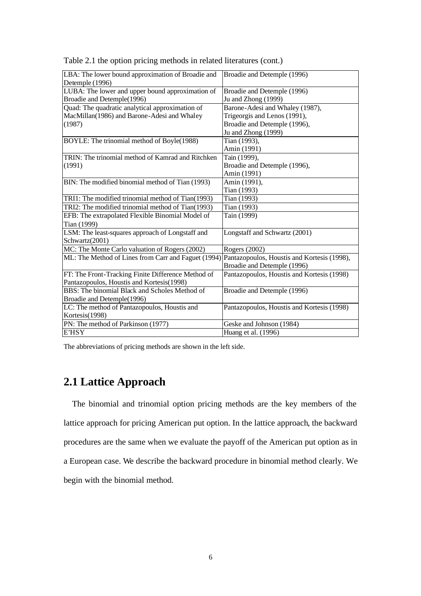| LBA: The lower bound approximation of Broadie and   | Broadie and Detemple (1996)                 |
|-----------------------------------------------------|---------------------------------------------|
| Detemple (1996)                                     |                                             |
| LUBA: The lower and upper bound approximation of    | Broadie and Detemple (1996)                 |
| Broadie and Detemple(1996)                          | Ju and Zhong (1999)                         |
| Quad: The quadratic analytical approximation of     | Barone-Adesi and Whaley (1987),             |
| MacMillan(1986) and Barone-Adesi and Whaley         | Trigeorgis and Lenos (1991),                |
| (1987)                                              | Broadie and Detemple (1996),                |
|                                                     | Ju and Zhong (1999)                         |
| BOYLE: The trinomial method of Boyle(1988)          | Tian (1993),                                |
|                                                     | Amin (1991)                                 |
| TRIN: The trinomial method of Kamrad and Ritchken   | Tain (1999),                                |
| (1991)                                              | Broadie and Detemple (1996),                |
|                                                     | Amin (1991)                                 |
| BIN: The modified binomial method of Tian (1993)    | Amin (1991),                                |
|                                                     | Tian (1993)                                 |
| TRI1: The modified trinomial method of Tian(1993)   | Tian (1993)                                 |
| TRI2: The modified trinomial method of Tian(1993)   | Tian (1993)                                 |
| EFB: The extrapolated Flexible Binomial Model of    | Tain (1999)                                 |
| Tian (1999)                                         |                                             |
| LSM: The least-squares approach of Longstaff and    | Longstaff and Schwartz (2001)               |
| Schwartz(2001)                                      |                                             |
| MC: The Monte Carlo valuation of Rogers (2002)      | Rogers (2002)                               |
| ML: The Method of Lines from Carr and Faguet (1994) | Pantazopoulos, Houstis and Kortesis (1998), |
|                                                     | Broadie and Detemple (1996)                 |
| FT: The Front-Tracking Finite Difference Method of  | Pantazopoulos, Houstis and Kortesis (1998)  |
| Pantazopoulos, Houstis and Kortesis(1998)           |                                             |
| BBS: The binomial Black and Scholes Method of       | Broadie and Detemple (1996)                 |
| Broadie and Detemple(1996)                          |                                             |
| LC: The method of Pantazopoulos, Houstis and        | Pantazopoulos, Houstis and Kortesis (1998)  |
| Kortesis(1998)                                      |                                             |
| PN: The method of Parkinson (1977)                  | Geske and Johnson (1984)                    |
| E'HSY                                               | Huang et al. (1996)                         |

Table 2.1 the option pricing methods in related literatures (cont.)

The abbreviations of pricing methods are shown in the left side.

# **2.1 Lattice Approach**

 The binomial and trinomial option pricing methods are the key members of the lattice approach for pricing American put option. In the lattice approach, the backward procedures are the same when we evaluate the payoff of the American put option as in a European case. We describe the backward procedure in binomial method clearly. We begin with the binomial method.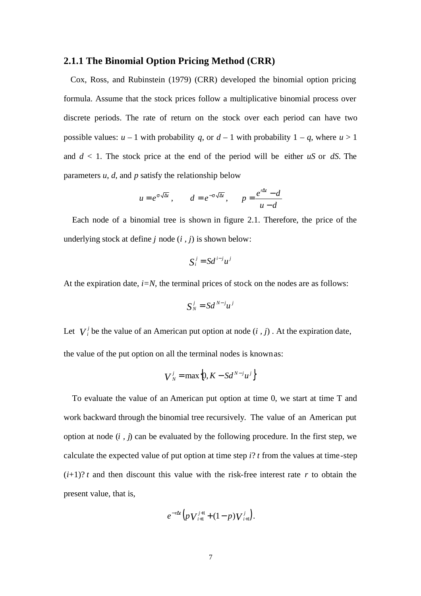# **2.1.1 The Binomial Option Pricing Method (CRR)**

 Cox, Ross, and Rubinstein (1979) (CRR) developed the binomial option pricing formula. Assume that the stock prices follow a multiplicative binomial process over discrete periods. The rate of return on the stock over each period can have two possible values:  $u - 1$  with probability  $q$ , or  $d - 1$  with probability  $1 - q$ , where  $u > 1$ and *d* < 1. The stock price at the end of the period will be either *uS* or *dS*. The parameters *u*, *d,* and *p* satisfy the relationship below

$$
u = e^{s\sqrt{\Delta t}}
$$
,  $d = e^{-s\sqrt{\Delta t}}$ ,  $p = \frac{e^{r\Delta t} - d}{u - d}$ 

 Each node of a binomial tree is shown in figure 2.1. Therefore, the price of the underlying stock at define *j* node (*i , j*) is shown below:

$$
S_i^j = S d^{i-j} u^j
$$

At the expiration date,  $i=N$ , the terminal prices of stock on the nodes are as follows:

$$
S_N^j = S d^{N-j} u^j
$$

Let  $V_i^j$  be the value of an American put option at node  $(i, j)$ . At the expiration date, the value of the put option on all the terminal nodes is knownas:

$$
V_N^j = \max\left\{0, K - S d^{N-j} u^j\right\}
$$

To evaluate the value of an American put option at time 0, we start at time T and work backward through the binomial tree recursively. The value of an American put option at node (*i , j*) can be evaluated by the following procedure. In the first step, we calculate the expected value of put option at time step *i*? *t* from the values at time-step  $(i+1)$ ? *t* and then discount this value with the risk-free interest rate *r* to obtain the present value, that is,

$$
e^{-r\Delta t}\Big(p\,V_{i+1}^{j+1}+(1-p)\,V_{i+1}^j\Big).
$$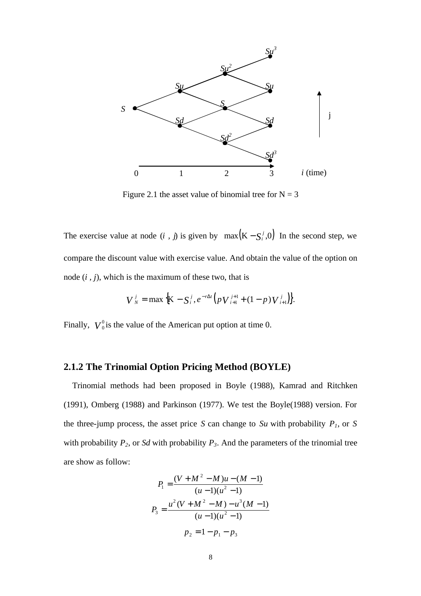

Figure 2.1 the asset value of binomial tree for  $N = 3$ 

The exercise value at node  $(i, j)$  is given by  $max(K - S_i^j, 0)$  In the second step, we compare the discount value with exercise value. And obtain the value of the option on node (*i , j*), which is the maximum of these two, that is

$$
V_N^j = \max \big\{ K - S_i^j, e^{-r\Delta t} \big( p V_{i+1}^{j+1} + (1-p) V_{i+1}^j \big) \big\}.
$$

Finally,  $V_0^0$  $\frac{0}{0}$  is the value of the American put option at time 0.

## **2.1.2 The Trinomial Option Pricing Method (BOYLE)**

 Trinomial methods had been proposed in Boyle (1988), Kamrad and Ritchken (1991), Omberg (1988) and Parkinson (1977). We test the Boyle(1988) version. For the three-jump process, the asset price *S* can change to *Su* with probability  $P<sub>1</sub>$ , or *S* with probability *P2*, or *Sd* with probability *P3*. And the parameters of the trinomial tree are show as follow:

$$
P_1 = \frac{(V + M^2 - M)u - (M - 1)}{(u - 1)(u^2 - 1)}
$$
  

$$
P_3 = \frac{u^2(V + M^2 - M) - u^3(M - 1)}{(u - 1)(u^2 - 1)}
$$
  

$$
p_2 = 1 - p_1 - p_3
$$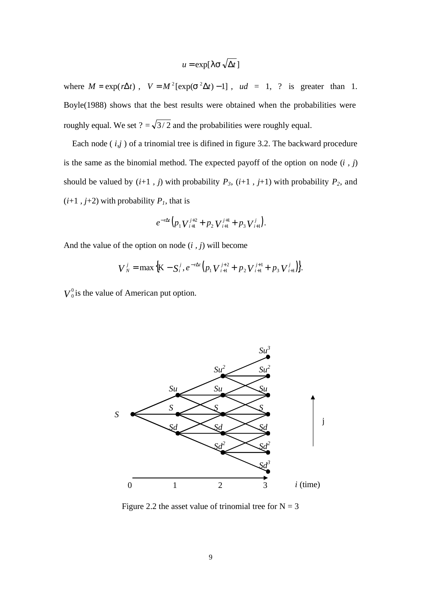$$
u = \exp[\mathbf{1}\,\mathbf{s}\,\sqrt{\Delta t}\,]
$$

where  $M = \exp(r\Delta t)$ ,  $V = M^2[\exp(\mathbf{s}^2\Delta t) - 1]$ ,  $ud = 1$ , ? is greater than 1. Boyle(1988) shows that the best results were obtained when the probabilities were roughly equal. We set  $? = \sqrt{3/2}$  and the probabilities were roughly equal.

Each node  $(i, j)$  of a trinomial tree is difined in figure 3.2. The backward procedure is the same as the binomial method. The expected payoff of the option on node (*i , j*) should be valued by  $(i+1, j)$  with probability  $P_3$ ,  $(i+1, j+1)$  with probability  $P_2$ , and  $(i+1, j+2)$  with probability  $P<sub>l</sub>$ , that is

$$
e^{-r\Delta t}\Big(p_1V_{i+1}^{j+2}+p_2V_{i+1}^{j+1}+p_3V_{i+1}^j\Big).
$$

And the value of the option on node (*i , j*) will become

$$
V_N^j = \max \Big\{ K - S_i^j, e^{-r\Delta t} \Big( p_1 V_{i+1}^{j+2} + p_2 V_{i+1}^{j+1} + p_3 V_{i+1}^j \Big) \Big\}.
$$

 $V_0^0$  $_0^0$  is the value of American put option.



Figure 2.2 the asset value of trinomial tree for  $N = 3$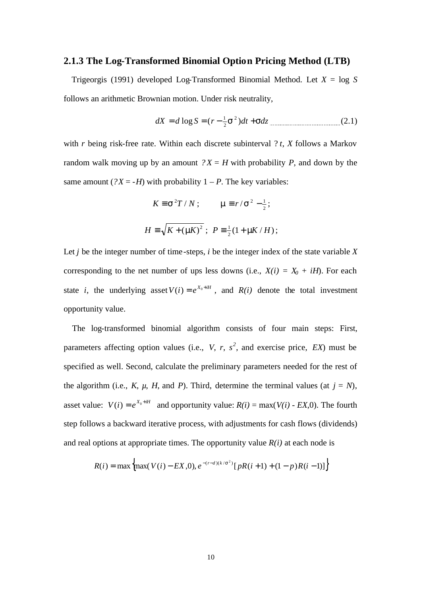# **2.1.3 The Log-Transformed Binomial Option Pricing Method (LTB)**

 Trigeorgis (1991) developed Log-Transformed Binomial Method. Let *X* = log *S* follows an arithmetic Brownian motion. Under risk neutrality,

$$
dX = d \log S = (r - \frac{1}{2}S^2)dt + Sdz
$$

with *r* being risk-free rate. Within each discrete subinterval ? *t*, *X* follows a Markov random walk moving up by an amount  $?X = H$  with probability *P*, and down by the same amount ( $?X = -H$ ) with probability  $1 - P$ . The key variables:

$$
K \equiv \mathbf{s}^2 T / N; \qquad \mathbf{m} \equiv r / \mathbf{s}^2 - \frac{1}{2};
$$
  

$$
H \equiv \sqrt{K + (\mathbf{m}K)^2}; \ P \equiv \frac{1}{2}(1 + \mathbf{m}K / H);
$$

Let  $j$  be the integer number of time-steps,  $i$  be the integer index of the state variable  $X$ corresponding to the net number of ups less downs (i.e.,  $X(i) = X_0 + iH$ ). For each state *i*, the underlying asset  $V(i) = e^{X_0 + iH}$ , and  $R(i)$  denote the total investment opportunity value.

The log-transformed binomial algorithm consists of four main steps: First, parameters affecting option values (i.e., *V*, *r*,  $s^2$ , and exercise price, *EX*) must be specified as well. Second, calculate the preliminary parameters needed for the rest of the algorithm (i.e., *K*,  $\mu$ , *H*, and *P*). Third, determine the terminal values (at  $j = N$ ), asset value:  $V(i) = e^{X_0 + iH}$  and opportunity value:  $R(i) = \max(V(i) - EX, 0)$ . The fourth step follows a backward iterative process, with adjustments for cash flows (dividends) and real options at appropriate times. The opportunity value  $R(i)$  at each node is

$$
R(i) = \max \left\{ \max(V(i) - EX, 0), e^{-(r-d)(k/s^2)} [pR(i+1) + (1-p)R(i-1)] \right\}
$$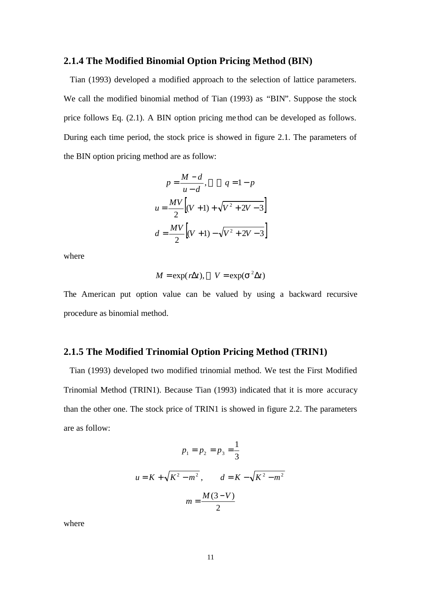# **2.1.4 The Modified Binomial Option Pricing Method (BIN)**

 Tian (1993) developed a modified approach to the selection of lattice parameters. We call the modified binomial method of Tian (1993) as "BIN". Suppose the stock price follows Eq. (2.1). A BIN option pricing me thod can be developed as follows. During each time period, the stock price is showed in figure 2.1. The parameters of the BIN option pricing method are as follow:

$$
p = \frac{M - d}{u - d}, \qquad q = 1 - p
$$
  

$$
u = \frac{MV}{2} \Big[ (V + 1) + \sqrt{V^2 + 2V - 3} \Big]
$$
  

$$
d = \frac{MV}{2} \Big[ (V + 1) - \sqrt{V^2 + 2V - 3} \Big]
$$

where

$$
M = \exp(r\Delta t), \quad V = \exp(\mathbf{S}^2 \Delta t)
$$

The American put option value can be valued by using a backward recursive procedure as binomial method.

## **2.1.5 The Modified Trinomial Option Pricing Method (TRIN1)**

 Tian (1993) developed two modified trinomial method. We test the First Modified Trinomial Method (TRIN1). Because Tian (1993) indicated that it is more accuracy than the other one. The stock price of TRIN1 is showed in figure 2.2. The parameters are as follow:

$$
p_1 = p_2 = p_3 = \frac{1}{3}
$$
  

$$
u = K + \sqrt{K^2 - m^2}, \qquad d = K - \sqrt{K^2 - m^2}
$$
  

$$
m = \frac{M(3-V)}{2}
$$

where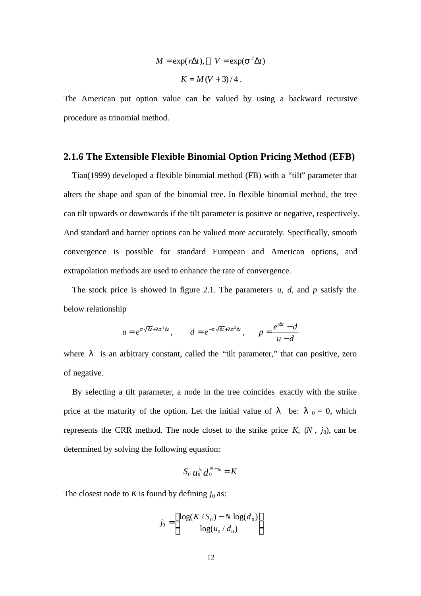$$
M = \exp(r\Delta t), \quad V = \exp(\mathbf{S}^2 \Delta t)
$$

$$
K = M(V+3)/4.
$$

The American put option value can be valued by using a backward recursive procedure as trinomial method.

#### **2.1.6 The Extensible Flexible Binomial Option Pricing Method (EFB)**

 Tian(1999) developed a flexible binomial method (FB) with a "tilt" parameter that alters the shape and span of the binomial tree. In flexible binomial method, the tree can tilt upwards or downwards if the tilt parameter is positive or negative, respectively. And standard and barrier options can be valued more accurately. Specifically, smooth convergence is possible for standard European and American options, and extrapolation methods are used to enhance the rate of convergence.

 The stock price is showed in figure 2.1. The parameters *u*, *d,* and *p* satisfy the below relationship

$$
u = e^{s\sqrt{\Delta t} + \mathbf{I} s^2 \Delta t}, \qquad d = e^{-s\sqrt{\Delta t} + \mathbf{I} s^2 \Delta t}, \qquad p = \frac{e^{r\Delta t} - d}{u - d}
$$

where is an arbitrary constant, called the "tilt parameter," that can positive, zero of negative.

 By selecting a tilt parameter, a node in the tree coincides exactly with the strike price at the maturity of the option. Let the initial value of be:  $_0 = 0$ , which represents the CRR method. The node closet to the strike price  $K$ ,  $(N, j_0)$ , can be determined by solving the following equation:

$$
S_0 \, u_0^{j_0} \, d_0^{N-j_0} = K
$$

The closest node to *K* is found by defining  $j_0$  as:

$$
j_0 = \left[ \frac{\log(K/S_0) - N \log(d_0)}{\log(u_0/d_0)} \right]
$$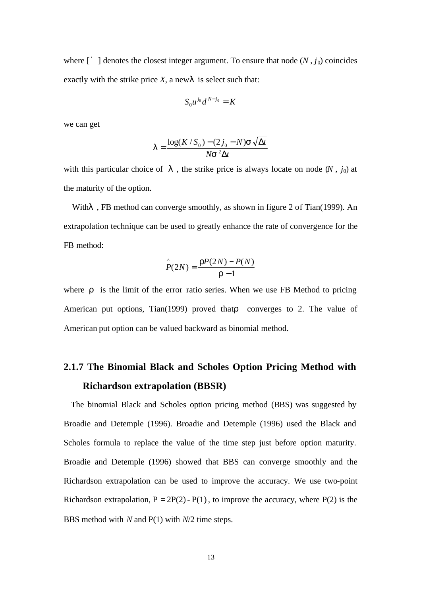where  $\left[ \begin{array}{c} \cdot \\ \cdot \end{array} \right]$  denotes the closest integer argument. To ensure that node  $(N, j_0)$  coincides exactly with the strike price *X*, a new is select such that:

$$
S_0u^{j_0}d^{N-j_0}=K
$$

we can get

$$
I = \frac{\log(K/S_0) - (2j_0 - N)\mathbf{S}\sqrt{\Delta t}}{N\mathbf{S}^2\Delta t}
$$

with this particular choice of , the strike price is always locate on node  $(N, j_0)$  at the maturity of the option.

With, FB method can converge smoothly, as shown in figure 2 of Tian(1999). An extrapolation technique can be used to greatly enhance the rate of convergence for the FB method:

$$
\hat{P}(2N) = \frac{rP(2N) - P(N)}{r - 1}
$$

where is the limit of the error ratio series. When we use FB Method to pricing American put options, Tian(1999) proved that converges to 2. The value of American put option can be valued backward as binomial method.

# **2.1.7 The Binomial Black and Scholes Option Pricing Method with Richardson extrapolation (BBSR)**

 The binomial Black and Scholes option pricing method (BBS) was suggested by Broadie and Detemple (1996). Broadie and Detemple (1996) used the Black and Scholes formula to replace the value of the time step just before option maturity. Broadie and Detemple (1996) showed that BBS can converge smoothly and the Richardson extrapolation can be used to improve the accuracy. We use two-point Richardson extrapolation,  $P = 2P(2) - P(1)$ , to improve the accuracy, where  $P(2)$  is the BBS method with *N* and P(1) with *N*/2 time steps.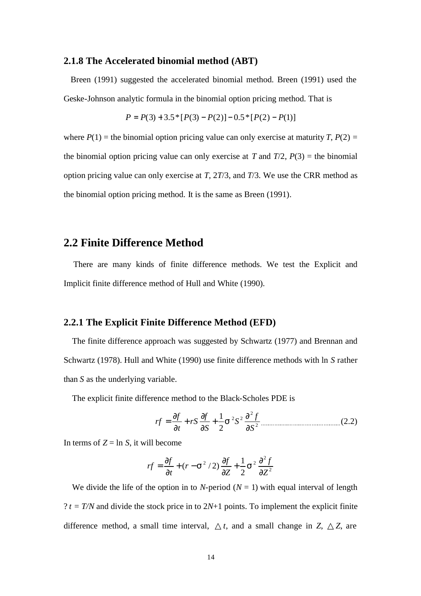# **2.1.8 The Accelerated binomial method (ABT)**

 Breen (1991) suggested the accelerated binomial method. Breen (1991) used the Geske-Johnson analytic formula in the binomial option pricing method. That is

$$
P = P(3) + 3.5 * [P(3) - P(2)] - 0.5 * [P(2) - P(1)]
$$

where  $P(1)$  = the binomial option pricing value can only exercise at maturity *T*,  $P(2)$  = the binomial option pricing value can only exercise at *T* and  $T/2$ ,  $P(3) =$  the binomial option pricing value can only exercise at *T*, 2*T*/3, and *T*/3. We use the CRR method as the binomial option pricing method. It is the same as Breen (1991).

# **2.2 Finite Difference Method**

There are many kinds of finite difference methods. We test the Explicit and Implicit finite difference method of Hull and White (1990).

# **2.2.1 The Explicit Finite Difference Method (EFD)**

The finite difference approach was suggested by Schwartz (1977) and Brennan and Schwartz (1978). Hull and White (1990) use finite difference methods with ln *S* rather than *S* as the underlying variable.

The explicit finite difference method to the Black-Scholes PDE is

$$
rf = \frac{\partial f}{\partial t} + rS \frac{\partial f}{\partial S} + \frac{1}{2} S^2 S^2 \frac{\partial^2 f}{\partial S^2}
$$
 (2.2)

In terms of  $Z = \ln S$ , it will become

$$
rf = \frac{\partial f}{\partial t} + (r - s^2 / 2) \frac{\partial f}{\partial z} + \frac{1}{2} s^2 \frac{\partial^2 f}{\partial z^2}
$$

We divide the life of the option in to *N*-period  $(N = 1)$  with equal interval of length  $? t = T/N$  and divide the stock price in to  $2N+1$  points. To implement the explicit finite difference method, a small time interval, *t*, and a small change in *Z*, *Z*, are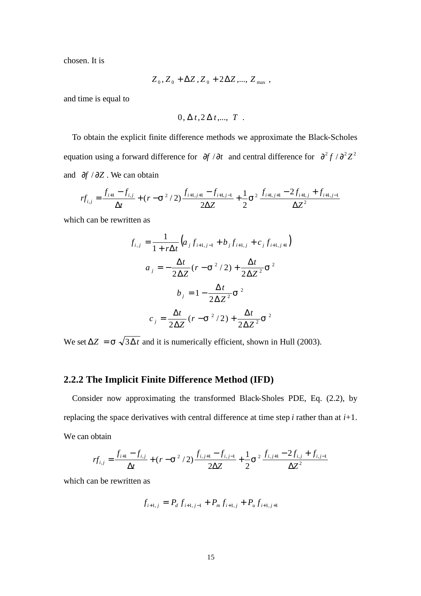chosen. It is

$$
Z_0, Z_0 + \Delta Z, Z_0 + 2\Delta Z, ..., Z_{\text{max}} ,
$$

and time is equal to

$$
0, \Delta t, 2 \Delta t, ..., T
$$
.

To obtain the explicit finite difference methods we approximate the Black-Scholes equation using a forward difference for  $\partial f / \partial t$  and central difference for  $\partial^2 f / \partial^2 Z^2$ and ∂*f* / ∂*Z* . We can obtain

$$
rf_{i,j} = \frac{f_{i+1} - f_{i,j}}{\Delta t} + (r - s^2 / 2) \frac{f_{i+1,j+1} - f_{i+1,j-1}}{2\Delta Z} + \frac{1}{2} s^2 \frac{f_{i+1,j+1} - 2f_{i+1,j} + f_{i+1,j-1}}{\Delta Z^2}
$$

which can be rewritten as

$$
f_{i,j} = \frac{1}{1 + r\Delta t} \Big( a_j f_{i+1,j-1} + b_j f_{i+1,j} + c_j f_{i+1,j+1} \Big)
$$
  

$$
a_j = -\frac{\Delta t}{2\Delta Z} (r - s^2 / 2) + \frac{\Delta t}{2\Delta Z^2} s^2
$$
  

$$
b_j = 1 - \frac{\Delta t}{2\Delta Z^2} s^2
$$
  

$$
c_j = \frac{\Delta t}{2\Delta Z} (r - s^2 / 2) + \frac{\Delta t}{2\Delta Z^2} s^2
$$

We set  $\Delta Z = \mathbf{s} \sqrt{3\Delta t}$  and it is numerically efficient, shown in Hull (2003).

# **2.2.2 The Implicit Finite Difference Method (IFD)**

 Consider now approximating the transformed Black-Sholes PDE, Eq. (2.2), by replacing the space derivatives with central difference at time step *i* rather than at *i*+1. We can obtain

$$
rf_{i,j} = \frac{f_{i+1} - f_{i,j}}{\Delta t} + (r - s^2 / 2) \frac{f_{i,j+1} - f_{i,j-1}}{2\Delta Z} + \frac{1}{2} s^2 \frac{f_{i,j+1} - 2f_{i,j} + f_{i,j-1}}{\Delta Z^2}
$$

which can be rewritten as

$$
f_{i+1,j} = P_d f_{i+1,j-1} + P_m f_{i+1,j} + P_u f_{i+1,j+1}
$$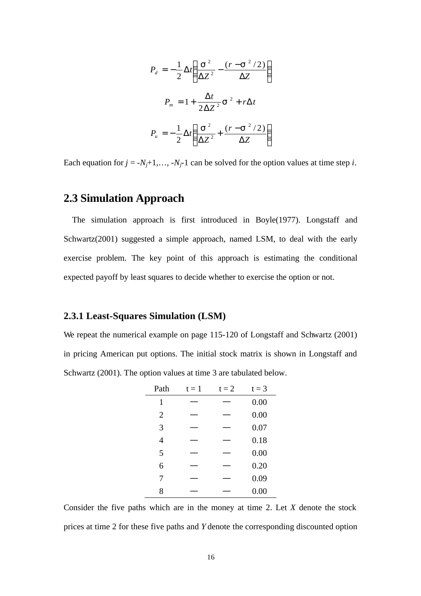$$
P_d = -\frac{1}{2}\Delta t \left(\frac{\mathbf{s}^2}{\Delta Z^2} - \frac{(r - \mathbf{s}^2/2)}{\Delta Z}\right)
$$
  

$$
P_m = 1 + \frac{\Delta t}{2\Delta Z^2} \mathbf{s}^2 + r\Delta t
$$
  

$$
P_u = -\frac{1}{2}\Delta t \left(\frac{\mathbf{s}^2}{\Delta Z^2} + \frac{(r - \mathbf{s}^2/2)}{\Delta Z}\right)
$$

Each equation for  $j = -N_j+1,..., -N_j-1$  can be solved for the option values at time step *i*.

# **2.3 Simulation Approach**

The simulation approach is first introduced in Boyle(1977). Longstaff and Schwartz(2001) suggested a simple approach, named LSM, to deal with the early exercise problem. The key point of this approach is estimating the conditional expected payoff by least squares to decide whether to exercise the option or not.

# **2.3.1 Least-Squares Simulation (LSM)**

We repeat the numerical example on page 115-120 of Longstaff and Schwartz (2001) in pricing American put options. The initial stock matrix is shown in Longstaff and Schwartz (2001). The option values at time 3 are tabulated below.

| Path           | $t = 1$ | $t = 2$ | $t = 3$ |
|----------------|---------|---------|---------|
| 1              |         |         | 0.00    |
| $\overline{2}$ |         |         | 0.00    |
| 3              |         |         | 0.07    |
| $\overline{4}$ |         |         | 0.18    |
| 5              |         |         | 0.00    |
| 6              |         |         | 0.20    |
| 7              |         |         | 0.09    |
| 8              |         |         | 0.00    |

Consider the five paths which are in the money at time 2. Let *X* denote the stock prices at time 2 for these five paths and *Y* denote the corresponding discounted option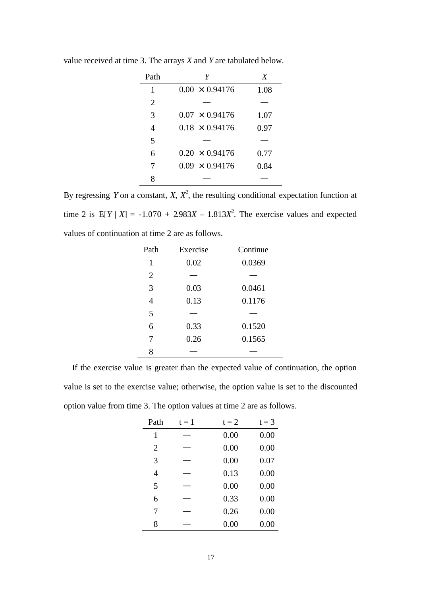| Path           | Y                     | X    |
|----------------|-----------------------|------|
| 1              | $0.00 \times 0.94176$ | 1.08 |
| $\overline{2}$ |                       |      |
| 3              | $0.07 \times 0.94176$ | 1.07 |
| $\overline{4}$ | $0.18 \times 0.94176$ | 0.97 |
| 5              |                       |      |
| 6              | $0.20 \times 0.94176$ | 0.77 |
| 7              | $0.09 \times 0.94176$ | 0.84 |
|                |                       |      |

value received at time 3. The arrays *X* and *Y* are tabulated below.

By regressing *Y* on a constant, *X*,  $X^2$ , the resulting conditional expectation function at time 2 is  $E[Y | X] = -1.070 + 2.983X - 1.813X^2$ . The exercise values and expected values of continuation at time 2 are as follows.

| Path           | Exercise | Continue |
|----------------|----------|----------|
| 1              | 0.02     | 0.0369   |
| $\overline{2}$ |          |          |
| 3              | 0.03     | 0.0461   |
| $\overline{4}$ | 0.13     | 0.1176   |
| 5              |          |          |
| 6              | 0.33     | 0.1520   |
| 7              | 0.26     | 0.1565   |
| 8              |          |          |

 If the exercise value is greater than the expected value of continuation, the option value is set to the exercise value; otherwise, the option value is set to the discounted option value from time 3. The option values at time 2 are as follows.

| Path           | $t = 1$ | $t = 2$ | $t = 3$ |
|----------------|---------|---------|---------|
| 1              |         | 0.00    | 0.00    |
| $\overline{2}$ |         | 0.00    | 0.00    |
| 3              |         | 0.00    | 0.07    |
| $\overline{4}$ |         | 0.13    | 0.00    |
| 5              |         | 0.00    | 0.00    |
| 6              |         | 0.33    | 0.00    |
| 7              |         | 0.26    | 0.00    |
| 8              |         | 0.00    | 0.00    |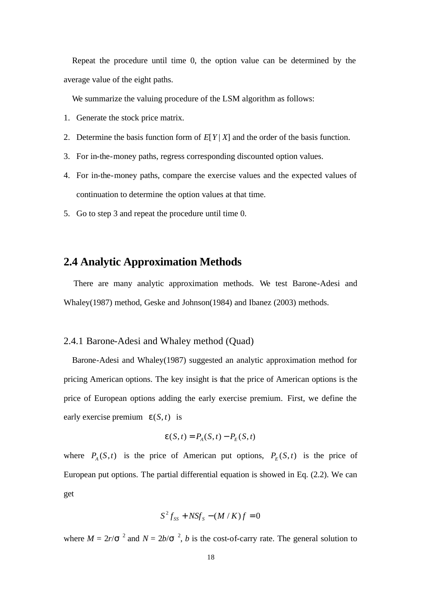Repeat the procedure until time 0, the option value can be determined by the average value of the eight paths.

We summarize the valuing procedure of the LSM algorithm as follows:

- 1. Generate the stock price matrix.
- 2. Determine the basis function form of  $E[Y|X]$  and the order of the basis function.
- 3. For in-the-money paths, regress corresponding discounted option values.
- 4. For in-the-money paths, compare the exercise values and the expected values of continuation to determine the option values at that time.
- 5. Go to step 3 and repeat the procedure until time 0.

# **2.4 Analytic Approximation Methods**

 There are many analytic approximation methods. We test Barone-Adesi and Whaley(1987) method, Geske and Johnson(1984) and Ibanez (2003) methods.

#### 2.4.1 Barone-Adesi and Whaley method (Quad)

 Barone-Adesi and Whaley(1987) suggested an analytic approximation method for pricing American options. The key insight is that the price of American options is the price of European options adding the early exercise premium. First, we define the early exercise premium  $e(S, t)$  is

$$
\mathbf{e}(S,t) = P_A(S,t) - P_E(S,t)
$$

where  $P_A(S,t)$  is the price of American put options,  $P_E(S,t)$  is the price of European put options. The partial differential equation is showed in Eq. (2.2). We can get

$$
S^2 f_{SS} + N S f_S - (M/K)f = 0
$$

where  $M = 2r/2$  and  $N = 2b/2$ , *b* is the cost-of-carry rate. The general solution to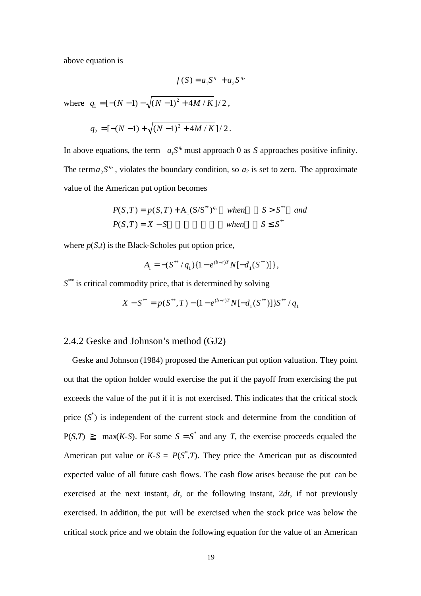above equation is

$$
f(S) = a_1 S^{q_1} + a_2 S^{q_2}
$$

where  $q_1 = [ -(N-1) - \sqrt{(N-1)^2 + 4M/K } ]/2$ ,

$$
q_2 = [-(N-1) + \sqrt{(N-1)^2 + 4M/K}]/2.
$$

In above equations, the term  $a_1 S^{q_1}$  $a_1 S^{q_1}$  must approach 0 as *S* approaches positive infinity. The term  $a_2 S^{q_2}$  $a_2 S^{\varphi}$ , violates the boundary condition, so  $a_2$  is set to zero. The approximate value of the American put option becomes

$$
P(S,T) = p(S,T) + A_1(S/S^*)^{q_1} \quad when \quad S > S^{**} \quad and
$$
  

$$
P(S,T) = X - S \quad when \quad S \le S^*
$$

where  $p(S,t)$  is the Black-Scholes put option price,

$$
A_1 = -(S^{**} / q_1) \{1 - e^{(b-r)T} N[-d_1(S^{**})]\},
$$

*S \*\** is critical commodity price, that is determined by solving

$$
X - S^{**} = p(S^{**}, T) - \{1 - e^{(b-r)T}N[-d_1(S^{**})]\}S^{**} / q_1
$$

#### 2.4.2 Geske and Johnson's method (GJ2)

 Geske and Johnson (1984) proposed the American put option valuation. They point out that the option holder would exercise the put if the payoff from exercising the put exceeds the value of the put if it is not exercised. This indicates that the critical stock price  $(S^*)$  is independent of the current stock and determine from the condition of  $P(S,T)$  max(*K*-*S*). For some  $S = S^*$  and any *T*, the exercise proceeds equaled the American put value or  $K-S = P(S^*,T)$ . They price the American put as discounted expected value of all future cash flows. The cash flow arises because the put can be exercised at the next instant, *dt*, or the following instant, 2*dt*, if not previously exercised. In addition, the put will be exercised when the stock price was below the critical stock price and we obtain the following equation for the value of an American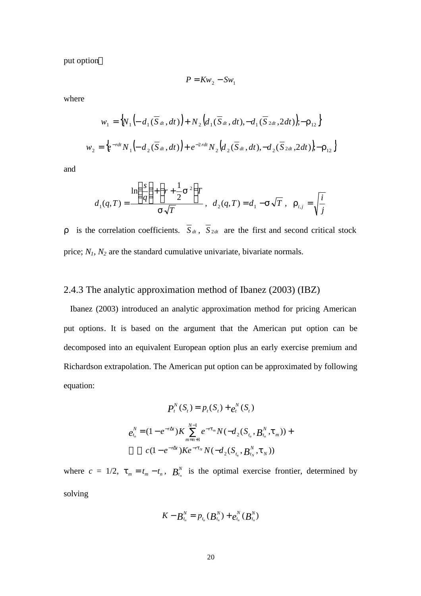put option

$$
P = Kw_2 - Sw_1
$$

where

$$
w_1 = \left\{ N_1 \left( -d_1(\overline{S}_{dt}, dt) \right) + N_2 \left( d_1(\overline{S}_{dt}, dt), -d_1(\overline{S}_{2dt}, 2dt) \right), -\mathbf{r}_{12} \right\}
$$
  

$$
w_2 = \left\{ e^{-rdt} N_1 \left( -d_2(\overline{S}_{dt}, dt) \right) + e^{-2rdt} N_2 \left( d_2(\overline{S}_{dt}, dt), -d_2(\overline{S}_{2dt}, 2dt) \right), -\mathbf{r}_{12} \right\}
$$

and

$$
d_1(q,T) = \frac{\ln\left(\frac{s}{q}\right) + \left(r + \frac{1}{2}\mathbf{S}^2\right)T}{\mathbf{S}\sqrt{T}}, \quad d_2(q,T) = d_1 - \mathbf{S}\sqrt{T}, \quad \mathbf{r}_{i,j} = \sqrt{\frac{i}{j}}
$$

is the correlation coefficients.  $\overline{S}_{dt}$ ,  $\overline{S}_{2dt}$  are the first and second critical stock price;  $N_1$ ,  $N_2$  are the standard cumulative univariate, bivariate normals.

# 2.4.3 The analytic approximation method of Ibanez (2003) (IBZ)

 Ibanez (2003) introduced an analytic approximation method for pricing American put options. It is based on the argument that the American put option can be decomposed into an equivalent European option plus an early exercise premium and Richardson extrapolation. The American put option can be approximated by following equation:

$$
P_t^N(S_t) = p_t(S_t) + e_t^N(S_t)
$$
  
\n
$$
e_{t_n}^N = (1 - e^{-r\Delta t})K \sum_{m=n+1}^{N-1} e^{-rt_m} N(-d_2(S_{t_n}, B_{t_n}^N, \mathbf{t}_m)) +
$$
  
\n
$$
c(1 - e^{-r\Delta t})K e^{-rt_N} N(-d_2(S_{t_n}, B_{t_N}^N, \mathbf{t}_N))
$$

where  $c = 1/2$ ,  $t_m = t_m - t_n$ ,  $B_{t_n}^N$  is the optimal exercise frontier, determined by solving

$$
K-B_{t_n}^N = p_{t_n}(B_{t_n}^N) + e_{t_n}^N(B_{t_n}^N)
$$